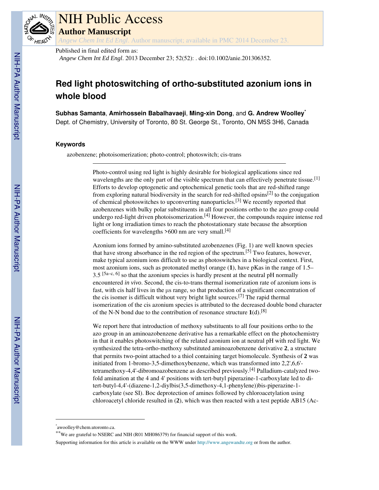

# NIH Public Access

**Author Manuscript**

*Angew Chem Int Ed Engl*. Author manuscript; available in PMC 2014 December 23.

Published in final edited form as:

*Angew Chem Int Ed Engl*. 2013 December 23; 52(52): . doi:10.1002/anie.201306352.

# **Red light photoswitching of ortho-substituted azonium ions in whole blood**

**Subhas Samanta**, **Amirhossein Babalhavaeji**, **Ming-xin Dong**, and **G. Andrew Woolley**\*

Dept. of Chemistry, University of Toronto, 80 St. George St., Toronto, ON M5S 3H6, Canada

# **Keywords**

azobenzene; photoisomerization; photo-control; photoswitch; cis-trans

Photo-control using red light is highly desirable for biological applications since red wavelengths are the only part of the visible spectrum that can effectively penetrate tissue.<sup>[1]</sup> Efforts to develop optogenetic and optochemical genetic tools that are red-shifted range from exploring natural biodiversity in the search for red-shifted opsins<sup>[2]</sup> to the conjugation of chemical photoswitches to upconverting nanoparticles.[3] We recently reported that azobenzenes with bulky polar substituents in all four positions ortho to the azo group could undergo red-light driven photoisomerization.[4] However, the compounds require intense red light or long irradiation times to reach the photostationary state because the absorption coefficients for wavelengths  $>600$  nm are very small.<sup>[4]</sup>

Azonium ions formed by amino-substituted azobenzenes (Fig. 1) are well known species that have strong absorbance in the red region of the spectrum.[5] Two features, however, make typical azonium ions difficult to use as photoswitches in a biological context. First, most azonium ions, such as protonated methyl orange (**1**), have pKas in the range of 1.5–  $3.5$  [5a–c, 6] so that the azonium species is hardly present at the neutral pH normally encountered *in vivo*. Second, the cis-to-trans thermal isomerization rate of azonium ions is fast, with cis half lives in the μs range, so that production of a significant concentration of the cis isomer is difficult without very bright light sources.[7] The rapid thermal isomerization of the cis azonium species is attributed to the decreased double bond character of the N-N bond due to the contribution of resonance structure  $1(d)$ .<sup>[8]</sup>

We report here that introduction of methoxy substituents to all four positions ortho to the azo group in an aminoazobenzene derivative has a remarkable effect on the photochemistry in that it enables photoswitching of the related azonium ion at neutral pH with red light. We synthesized the tetra-ortho-methoxy substituted aminoazobenzene derivative **2**, a structure that permits two-point attached to a thiol containing target biomolecule. Synthesis of **2** was initiated from 1-bromo-3,5-dimethoxybenzene, which was transformed into 2,2',6,6' tetramethoxy-4,4'-dibromoazobenzene as described previously.[4] Palladium-catalyzed twofold amination at the 4 and 4' positions with tert-butyl piperazine-1-carboxylate led to ditert-butyl-4,4'-(diazene-1,2-diylbis(3,5-dimethoxy-4,1-phenylene))bis-piperazine-1 carboxylate (see SI). Boc deprotection of amines followed by chloroacetylation using chloroacetyl chloride resulted in (**2**), which was then reacted with a test peptide AB15 (Ac-

Supporting information for this article is available on the WWW under http://www.angewandte.org or from the author.

<sup>\*</sup> awoolley@chem.utoronto.ca.

<sup>\*\*</sup>We are grateful to NSERC and NIH (R01 MH086379) for financial support of this work.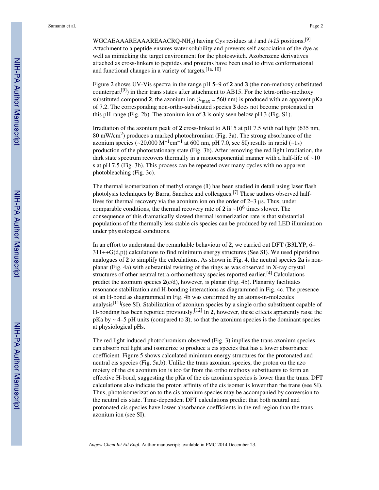WGCAEAAAREAAAREAACRQ-NH2) having Cys residues at *i* and *i*+*15* positions.[9] Attachment to a peptide ensures water solubility and prevents self-association of the dye as well as mimicking the target environment for the photoswitch. Azobenzene derivatives attached as cross-linkers to peptides and proteins have been used to drive conformational and functional changes in a variety of targets.[1a, 10]

Figure 2 shows UV-Vis spectra in the range pH 5–9 of **2** and **3** (the non-methoxy substituted counterpart[9]) in their trans states after attachment to AB15. For the tetra-ortho-methoxy substituted compound **2**, the azonium ion ( $\lambda_{\text{max}} = 560 \text{ nm}$ ) is produced with an apparent pKa of 7.2. The corresponding non-ortho-substituted species **3** does not become protonated in this pH range (Fig. 2b). The azonium ion of **3** is only seen below pH 3 (Fig. S1).

Irradiation of the azonium peak of **2** cross-linked to AB15 at pH 7.5 with red light (635 nm, 80 mW/cm<sup>2</sup>) produces a marked photochromism (Fig. 3a). The strong absorbance of the azonium species (~20,000 M<sup>-1</sup>cm<sup>-1</sup> at 600 nm, pH 7.0, see SI) results in rapid (~1s) production of the photostationary state (Fig. 3b). After removing the red light irradiation, the dark state spectrum recovers thermally in a monoexponential manner with a half-life of  $\sim$ 10 s at pH 7.5 (Fig. 3b). This process can be repeated over many cycles with no apparent photobleaching (Fig. 3c).

The thermal isomerization of methyl orange (**1**) has been studied in detail using laser flash photolysis techniques by Barra, Sanchez and colleagues.[7] These authors observed halflives for thermal recovery via the azonium ion on the order of 2–3 μs. Thus, under comparable conditions, the thermal recovery rate of  $2$  is  $\sim$  10<sup>6</sup> times slower. The consequence of this dramatically slowed thermal isomerization rate is that substantial populations of the thermally less stable cis species can be produced by red LED illumination under physiological conditions.

In an effort to understand the remarkable behaviour of **2**, we carried out DFT (B3LYP, 6–  $311++G(d,p)$ ) calculations to find minimum energy structures (See SI). We used piperidino analogues of **2** to simplify the calculations. As shown in Fig. 4, the neutral species **2a** is nonplanar (Fig. 4a) with substantial twisting of the rings as was observed in X-ray crystal structures of other neutral tetra-orthomethoxy species reported earlier.<sup>[4]</sup> Calculations predict the azonium species **2**(c/d), however, is planar (Fig. 4b). Planarity facilitates resonance stabilization and H-bonding interactions as diagrammed in Fig. 4c. The presence of an H-bond as diagrammed in Fig. 4b was confirmed by an atoms-in-molecules analysis<sup>[11]</sup>(see SI). Stabilization of azonium species by a single ortho substituent capable of H-bonding has been reported previously.[12] In **2**, however, these effects apparently raise the  $pKa$  by  $\sim$  4–5 pH units (compared to 3), so that the azonium species is the dominant species at physiological pHs.

The red light induced photochromism observed (Fig. 3) implies the trans azonium species can absorb red light and isomerize to produce a cis species that has a lower absorbance coefficient. Figure 5 shows calculated minimum energy structures for the protonated and neutral cis species (Fig. 5a,b). Unlike the trans azonium species, the proton on the azo moiety of the cis azonium ion is too far from the ortho methoxy substituents to form an effective H-bond, suggesting the pKa of the cis azonium species is lower than the trans. DFT calculations also indicate the proton affinity of the cis isomer is lower than the trans (see SI). Thus, photoisomerization to the cis azonium species may be accompanied by conversion to the neutral cis state. Time-dependent DFT calculations predict that both neutral and protonated cis species have lower absorbance coefficients in the red region than the trans azonium ion (see SI).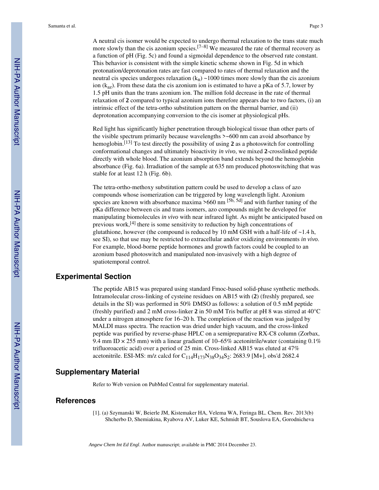A neutral cis isomer would be expected to undergo thermal relaxation to the trans state much more slowly than the cis azonium species.<sup>[7–8]</sup> We measured the rate of thermal recovery as a function of pH (Fig. 5c) and found a sigmoidal dependence to the observed rate constant. This behavior is consistent with the simple kinetic scheme shown in Fig. 5d in which protonation/deprotonation rates are fast compared to rates of thermal relaxation and the neutral cis species undergoes relaxation  $(k_n) \sim 1000$  times more slowly than the cis azonium ion ( $k_{az}$ ). From these data the cis azonium ion is estimated to have a pKa of 5.7, lower by 1.5 pH units than the trans azonium ion. The million fold decrease in the rate of thermal relaxation of **2** compared to typical azonium ions therefore appears due to two factors, (i) an intrinsic effect of the tetra-ortho substitution pattern on the thermal barrier, and (ii) deprotonation accompanying conversion to the cis isomer at physiological pHs.

Red light has significantly higher penetration through biological tissue than other parts of the visible spectrum primarily because wavelengths >~600 nm can avoid absorbance by hemoglobin.[13] To test directly the possibility of using **2** as a photoswitch for controlling conformational changes and ultimately bioactivity *in vivo*, we mixed **2**-crosslinked peptide directly with whole blood. The azonium absorption band extends beyond the hemoglobin absorbance (Fig. 6a). Irradiation of the sample at 635 nm produced photoswitching that was stable for at least 12 h (Fig. 6b).

The tetra-ortho-methoxy substitution pattern could be used to develop a class of azo compounds whose isomerization can be triggered by long wavelength light. Azonium species are known with absorbance maxima  $>660$  nm  $[5b, 5d]$  and with further tuning of the pKa difference between cis and trans isomers, azo compounds might be developed for manipulating biomolecules *in vivo* with near infrared light. As might be anticipated based on previous work, $[4]$  there is some sensitivity to reduction by high concentrations of glutathione, however (the compound is reduced by 10 mM GSH with a half-life of  $\sim$ 1.4 h, see SI), so that use may be restricted to extracellular and/or oxidizing environments *in vivo*. For example, blood-borne peptide hormones and growth factors could be coupled to an azonium based photoswitch and manipulated non-invasively with a high degree of spatiotemporal control.

# **Experimental Section**

The peptide AB15 was prepared using standard Fmoc-based solid-phase synthetic methods. Intramolecular cross-linking of cysteine residues on AB15 with (**2**) (freshly prepared, see details in the SI) was performed in 50% DMSO as follows: a solution of 0.5 mM peptide (freshly purified) and 2 mM cross-linker **2** in 50 mM Tris buffer at pH 8 was stirred at 40°C under a nitrogen atmosphere for 16–20 h. The completion of the reaction was judged by MALDI mass spectra. The reaction was dried under high vacuum, and the cross-linked peptide was purified by reverse-phase HPLC on a semipreparative RX-C8 column (Zorbax, 9.4 mm ID  $\times$  255 mm) with a linear gradient of 10–65% acetonitrile/water (containing 0.1%) trifluoroacetic acid) over a period of 25 min. Cross-linked AB15 was eluted at 47% acetonitrile. ESI-MS: m/z calcd for  $C_{114}H_{173}N_{38}O_{34}S_2$ : 2683.9 [M+], obs'd 2682.4

# **Supplementary Material**

Refer to Web version on PubMed Central for supplementary material.

# **References**

[1]. (a) Szymanski W, Beierle JM, Kistemaker HA, Velema WA, Feringa BL. Chem. Rev. 2013(b) Shcherbo D, Shemiakina, Ryabova AV, Luker KE, Schmidt BT, Souslova EA, Gorodnicheva

*Angew Chem Int Ed Engl*. Author manuscript; available in PMC 2014 December 23.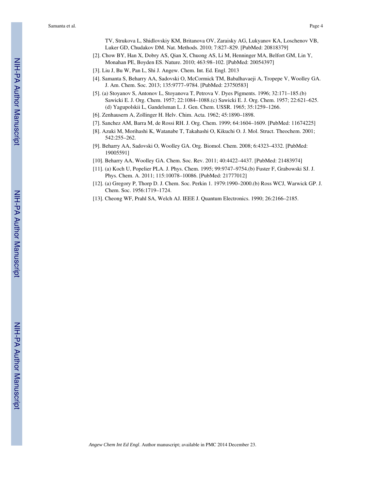TV, Strukova L, Shidlovskiy KM, Britanova OV, Zaraisky AG, Lukyanov KA, Loschenov VB, Luker GD, Chudakov DM. Nat. Methods. 2010; 7:827–829. [PubMed: 20818379]

- [2]. Chow BY, Han X, Dobry AS, Qian X, Chuong AS, Li M, Henninger MA, Belfort GM, Lin Y, Monahan PE, Boyden ES. Nature. 2010; 463:98–102. [PubMed: 20054397]
- [3]. Liu J, Bu W, Pan L, Shi J. Angew. Chem. Int. Ed. Engl. 2013
- [4]. Samanta S, Beharry AA, Sadovski O, McCormick TM, Babalhavaeji A, Tropepe V, Woolley GA. J. Am. Chem. Soc. 2013; 135:9777–9784. [PubMed: 23750583]
- [5]. (a) Stoyanov S, Antonov L, Stoyanova T, Petrova V. Dyes Pigments. 1996; 32:171–185.(b) Sawicki E. J. Org. Chem. 1957; 22:1084–1088.(c) Sawicki E. J. Org. Chem. 1957; 22:621–625. (d) Yagupolskii L, Gandelsman L. J. Gen. Chem. USSR. 1965; 35:1259–1266.
- [6]. Zenhausern A, Zollinger H. Helv. Chim. Acta. 1962; 45:1890–1898.
- [7]. Sanchez AM, Barra M, de Rossi RH. J. Org. Chem. 1999; 64:1604–1609. [PubMed: 11674225]
- [8]. Azuki M, Morihashi K, Watanabe T, Takahashi O, Kikuchi O. J. Mol. Struct. Theochem. 2001; 542:255–262.
- [9]. Beharry AA, Sadovski O, Woolley GA. Org. Biomol. Chem. 2008; 6:4323–4332. [PubMed: 19005591]
- [10]. Beharry AA, Woolley GA. Chem. Soc. Rev. 2011; 40:4422–4437. [PubMed: 21483974]
- [11]. (a) Koch U, Popelier PLA. J. Phys. Chem. 1995; 99:9747–9754.(b) Fuster F, Grabowski SJ. J. Phys. Chem. A. 2011; 115:10078–10086. [PubMed: 21777012]
- [12]. (a) Gregory P, Thorp D. J. Chem. Soc. Perkin 1. 1979:1990–2000.(b) Ross WCJ, Warwick GP. J. Chem. Soc. 1956:1719–1724.
- [13]. Cheong WF, Prahl SA, Welch AJ. IEEE J. Quantum Electronics. 1990; 26:2166–2185.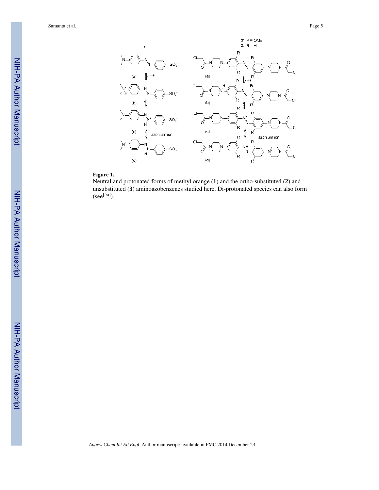

# **Figure 1.**

Neutral and protonated forms of methyl orange (**1**) and the ortho-substituted (**2**) and unsubstituted (**3**) aminoazobenzenes studied here. Di-protonated species can also form  $(see [5a])$ .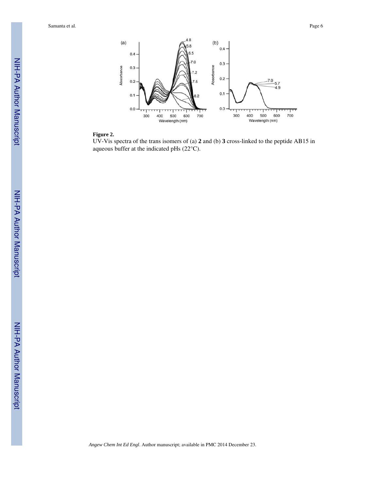

#### **Figure 2.**

UV-Vis spectra of the trans isomers of (a) **2** and (b) **3** cross-linked to the peptide AB15 in aqueous buffer at the indicated pHs (22°C).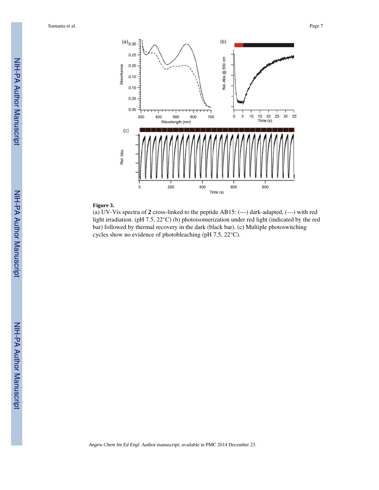

### **Figure 3.**

(a) UV-Vis spectra of **2** cross-linked to the peptide AB15: (—) dark-adapted, (---) with red light irradiation. (pH 7.5, 22°C) (b) photoisomerization under red light (indicated by the red bar) followed by thermal recovery in the dark (black bar). (c) Multiple photoswitching cycles show no evidence of photobleaching (pH 7.5, 22°C).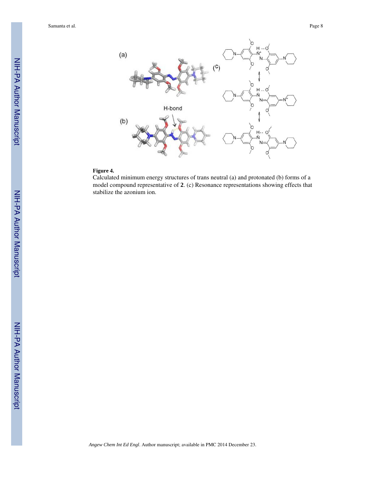

# **Figure 4.**

Calculated minimum energy structures of trans neutral (a) and protonated (b) forms of a model compound representative of **2**. (c) Resonance representations showing effects that stabilize the azonium ion.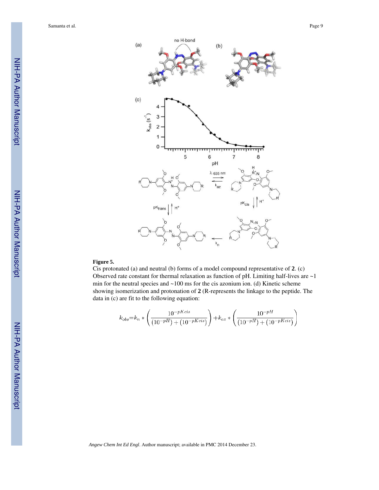



#### **Figure 5.**

Cis protonated (a) and neutral (b) forms of a model compound representative of **2**. (c) Observed rate constant for thermal relaxation as function of  $pH$ . Limiting half-lives are  $\sim$  1 min for the neutral species and  $\sim$ 100 ms for the cis azonium ion. (d) Kinetic scheme showing isomerization and protonation of **2** (R-represents the linkage to the peptide. The data in (c) are fit to the following equation:

$$
k_{obs} = k_n * \left(\frac{10^{-pKcis}}{(10^{-pH}) + (10^{-pKcis})}\right) + k_{az} * \left(\frac{10^{-pH}}{(10^{-pH}) + (10^{-pKcis})}\right)
$$